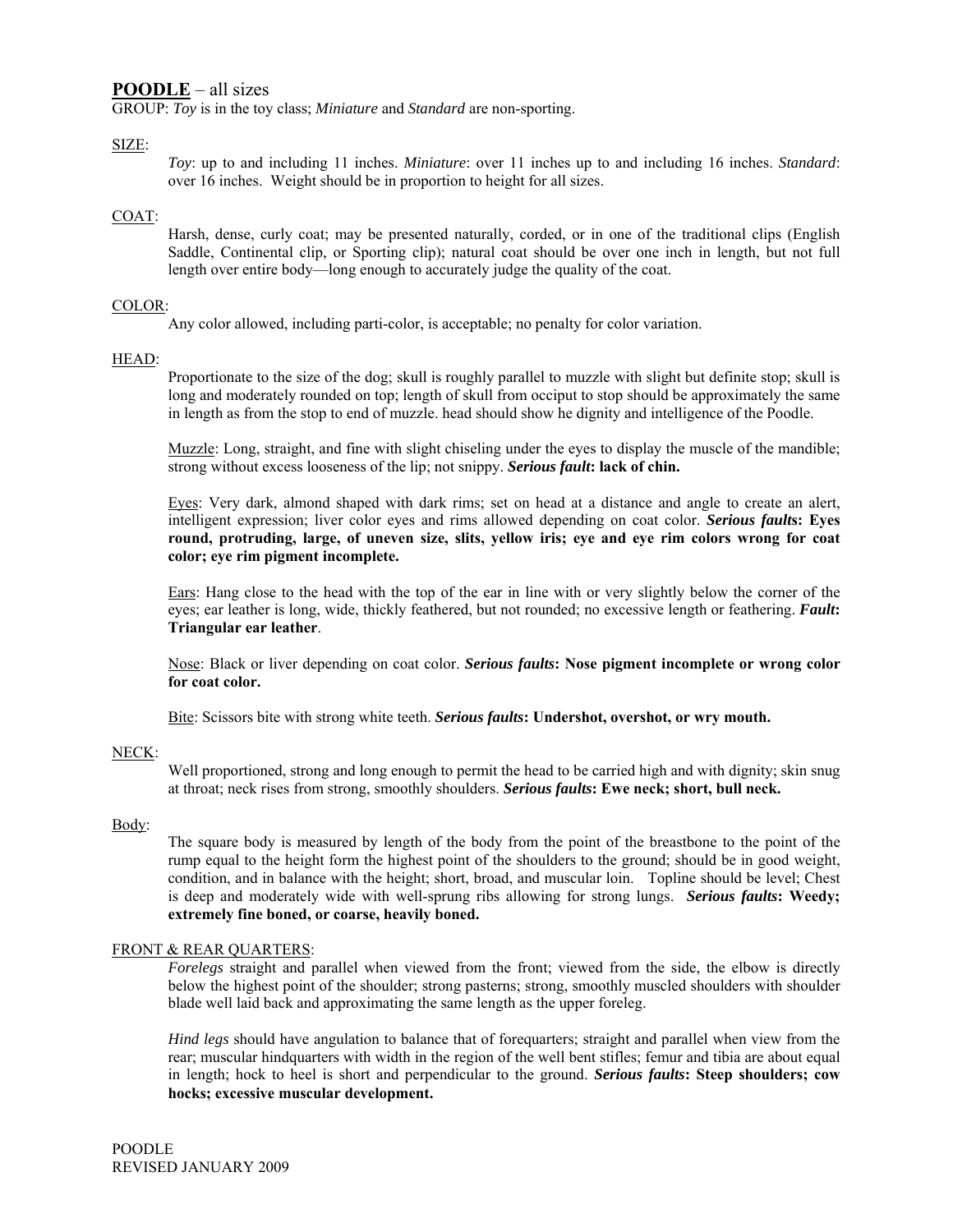# **POODLE** – all sizes

GROUP: *Toy* is in the toy class; *Miniature* and *Standard* are non-sporting.

# SIZE:

*Toy*: up to and including 11 inches. *Miniature*: over 11 inches up to and including 16 inches. *Standard*: over 16 inches. Weight should be in proportion to height for all sizes.

## COAT:

Harsh, dense, curly coat; may be presented naturally, corded, or in one of the traditional clips (English Saddle, Continental clip, or Sporting clip); natural coat should be over one inch in length, but not full length over entire body—long enough to accurately judge the quality of the coat.

## COLOR:

Any color allowed, including parti-color, is acceptable; no penalty for color variation.

# HEAD:

Proportionate to the size of the dog; skull is roughly parallel to muzzle with slight but definite stop; skull is long and moderately rounded on top; length of skull from occiput to stop should be approximately the same in length as from the stop to end of muzzle. head should show he dignity and intelligence of the Poodle.

Muzzle: Long, straight, and fine with slight chiseling under the eyes to display the muscle of the mandible; strong without excess looseness of the lip; not snippy. *Serious fault***: lack of chin.** 

Eyes: Very dark, almond shaped with dark rims; set on head at a distance and angle to create an alert, intelligent expression; liver color eyes and rims allowed depending on coat color. *Serious fault***s: Eyes round, protruding, large, of uneven size, slits, yellow iris; eye and eye rim colors wrong for coat color; eye rim pigment incomplete.** 

Ears: Hang close to the head with the top of the ear in line with or very slightly below the corner of the eyes; ear leather is long, wide, thickly feathered, but not rounded; no excessive length or feathering. *Fault***: Triangular ear leather**.

Nose: Black or liver depending on coat color. *Serious faults***: Nose pigment incomplete or wrong color for coat color.** 

Bite: Scissors bite with strong white teeth. *Serious faults***: Undershot, overshot, or wry mouth.** 

## NECK:

Well proportioned, strong and long enough to permit the head to be carried high and with dignity; skin snug at throat; neck rises from strong, smoothly shoulders. *Serious faults***: Ewe neck; short, bull neck.** 

#### Body:

The square body is measured by length of the body from the point of the breastbone to the point of the rump equal to the height form the highest point of the shoulders to the ground; should be in good weight, condition, and in balance with the height; short, broad, and muscular loin. Topline should be level; Chest is deep and moderately wide with well-sprung ribs allowing for strong lungs. *Serious faults***: Weedy; extremely fine boned, or coarse, heavily boned.** 

#### FRONT & REAR QUARTERS:

*Forelegs* straight and parallel when viewed from the front; viewed from the side, the elbow is directly below the highest point of the shoulder; strong pasterns; strong, smoothly muscled shoulders with shoulder blade well laid back and approximating the same length as the upper foreleg.

*Hind legs* should have angulation to balance that of forequarters; straight and parallel when view from the rear; muscular hindquarters with width in the region of the well bent stifles; femur and tibia are about equal in length; hock to heel is short and perpendicular to the ground. *Serious faults***: Steep shoulders; cow hocks; excessive muscular development.**